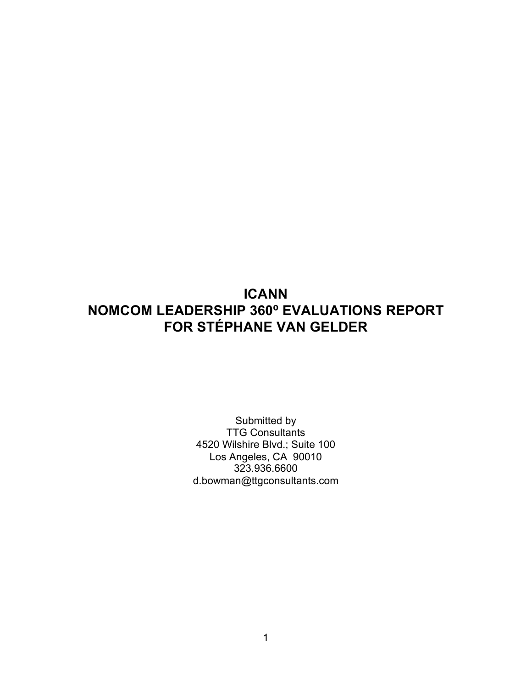# **ICANN NOMCOM LEADERSHIP 360⁰ EVALUATIONS REPORT FOR STÉPHANE VAN GELDER**

Submitted by TTG Consultants 4520 Wilshire Blvd.; Suite 100 Los Angeles, CA 90010 323.936.6600 d.bowman@ttgconsultants.com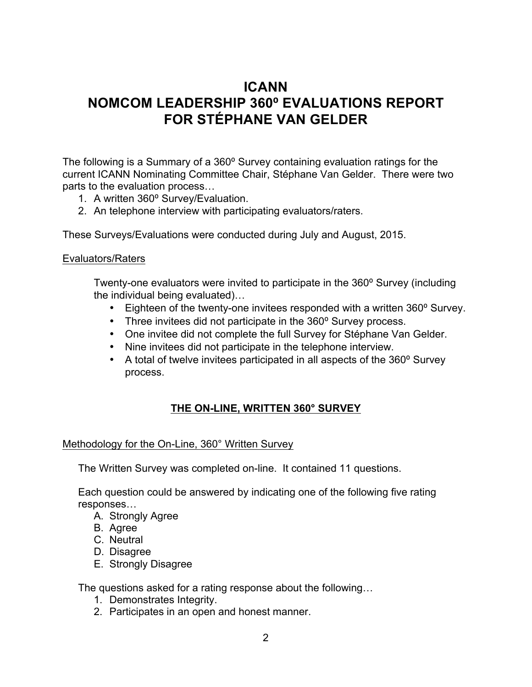## **ICANN NOMCOM LEADERSHIP 360⁰ EVALUATIONS REPORT FOR STÉPHANE VAN GELDER**

The following is a Summary of a 360° Survey containing evaluation ratings for the current ICANN Nominating Committee Chair, Stéphane Van Gelder. There were two parts to the evaluation process…

- 1. A written 360° Survey/Evaluation.
- 2. An telephone interview with participating evaluators/raters.

These Surveys/Evaluations were conducted during July and August, 2015.

## Evaluators/Raters

Twenty-one evaluators were invited to participate in the 360° Survey (including the individual being evaluated)…

- Eighteen of the twenty-one invitees responded with a written 360° Survey.
- Three invitees did not participate in the 360° Survey process.
- One invitee did not complete the full Survey for Stéphane Van Gelder.
- Nine invitees did not participate in the telephone interview.
- A total of twelve invitees participated in all aspects of the 360° Survey process.

## **THE ON-LINE, WRITTEN 360° SURVEY**

## Methodology for the On-Line, 360° Written Survey

The Written Survey was completed on-line. It contained 11 questions.

Each question could be answered by indicating one of the following five rating responses…

- A. Strongly Agree
- B. Agree
- C. Neutral
- D. Disagree
- E. Strongly Disagree

The questions asked for a rating response about the following…

- 1. Demonstrates Integrity.
- 2. Participates in an open and honest manner.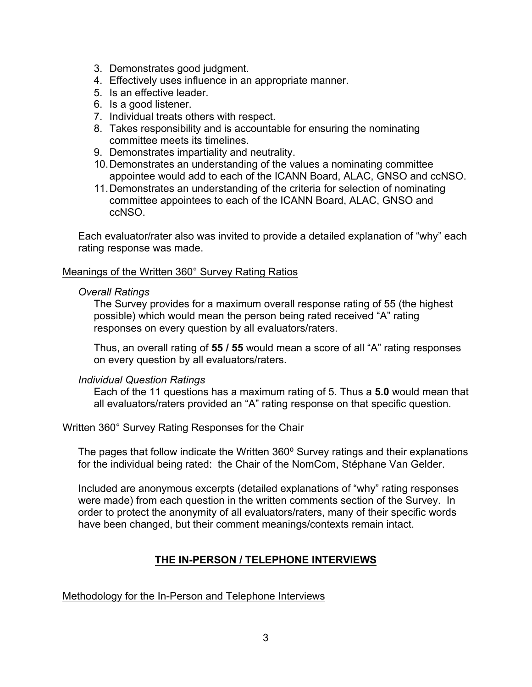- 3. Demonstrates good judgment.
- 4. Effectively uses influence in an appropriate manner.
- 5. Is an effective leader.
- 6. Is a good listener.
- 7. Individual treats others with respect.
- 8. Takes responsibility and is accountable for ensuring the nominating committee meets its timelines.
- 9. Demonstrates impartiality and neutrality.
- 10.Demonstrates an understanding of the values a nominating committee appointee would add to each of the ICANN Board, ALAC, GNSO and ccNSO.
- 11.Demonstrates an understanding of the criteria for selection of nominating committee appointees to each of the ICANN Board, ALAC, GNSO and ccNSO.

Each evaluator/rater also was invited to provide a detailed explanation of "why" each rating response was made.

## Meanings of the Written 360° Survey Rating Ratios

#### *Overall Ratings*

The Survey provides for a maximum overall response rating of 55 (the highest possible) which would mean the person being rated received "A" rating responses on every question by all evaluators/raters.

Thus, an overall rating of **55 / 55** would mean a score of all "A" rating responses on every question by all evaluators/raters.

#### *Individual Question Ratings*

Each of the 11 questions has a maximum rating of 5. Thus a **5.0** would mean that all evaluators/raters provided an "A" rating response on that specific question.

#### Written 360° Survey Rating Responses for the Chair

The pages that follow indicate the Written 360° Survey ratings and their explanations for the individual being rated: the Chair of the NomCom, Stéphane Van Gelder.

Included are anonymous excerpts (detailed explanations of "why" rating responses were made) from each question in the written comments section of the Survey. In order to protect the anonymity of all evaluators/raters, many of their specific words have been changed, but their comment meanings/contexts remain intact.

## **THE IN-PERSON / TELEPHONE INTERVIEWS**

Methodology for the In-Person and Telephone Interviews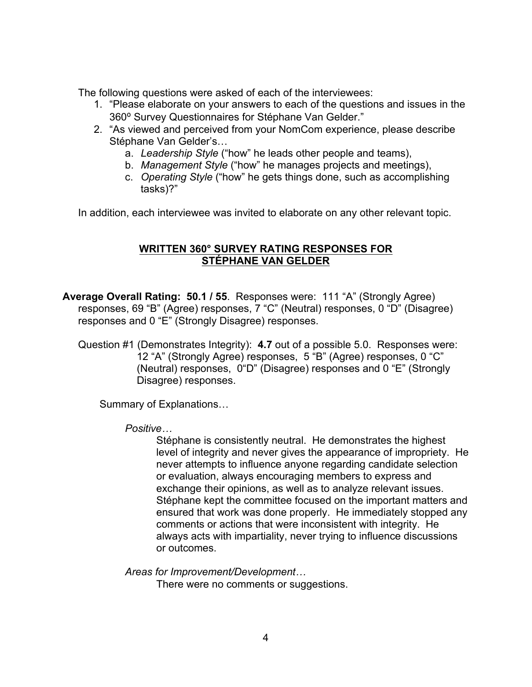The following questions were asked of each of the interviewees:

- 1. "Please elaborate on your answers to each of the questions and issues in the 360⁰ Survey Questionnaires for Stéphane Van Gelder."
- 2. "As viewed and perceived from your NomCom experience, please describe Stéphane Van Gelder's…
	- a. *Leadership Style* ("how" he leads other people and teams),
	- b. *Management Style* ("how" he manages projects and meetings),
	- c. *Operating Style* ("how" he gets things done, such as accomplishing tasks)?"

In addition, each interviewee was invited to elaborate on any other relevant topic.

## **WRITTEN 360° SURVEY RATING RESPONSES FOR STÉPHANE VAN GELDER**

**Average Overall Rating: 50.1 / 55**.Responses were: 111 "A" (Strongly Agree) responses, 69 "B" (Agree) responses, 7 "C" (Neutral) responses, 0 "D" (Disagree) responses and 0 "E" (Strongly Disagree) responses.

Question #1 (Demonstrates Integrity): **4.7** out of a possible 5.0. Responses were: 12 "A" (Strongly Agree) responses, 5 "B" (Agree) responses, 0 "C" (Neutral) responses, 0"D" (Disagree) responses and 0 "E" (Strongly Disagree) responses.

Summary of Explanations…

*Positive…*

Stéphane is consistently neutral. He demonstrates the highest level of integrity and never gives the appearance of impropriety. He never attempts to influence anyone regarding candidate selection or evaluation, always encouraging members to express and exchange their opinions, as well as to analyze relevant issues. Stéphane kept the committee focused on the important matters and ensured that work was done properly. He immediately stopped any comments or actions that were inconsistent with integrity. He always acts with impartiality, never trying to influence discussions or outcomes.

*Areas for Improvement/Development…*

There were no comments or suggestions.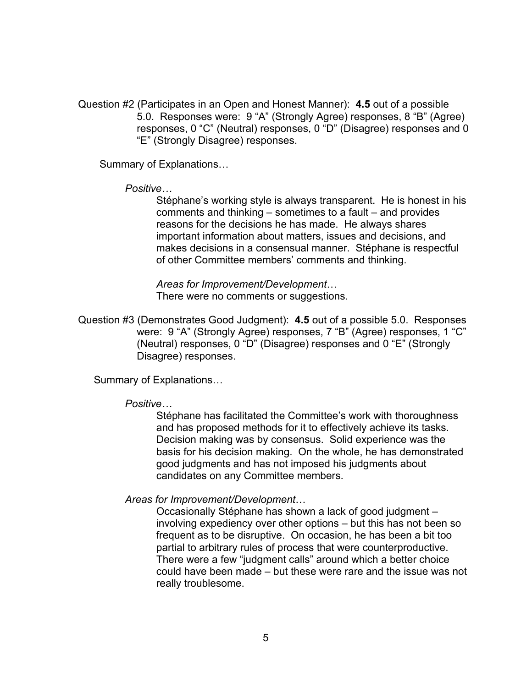Question #2 (Participates in an Open and Honest Manner): **4.5** out of a possible 5.0. Responses were: 9 "A" (Strongly Agree) responses, 8 "B" (Agree) responses, 0 "C" (Neutral) responses, 0 "D" (Disagree) responses and 0 "E" (Strongly Disagree) responses.

Summary of Explanations…

*Positive…*

Stéphane's working style is always transparent. He is honest in his comments and thinking – sometimes to a fault – and provides reasons for the decisions he has made. He always shares important information about matters, issues and decisions, and makes decisions in a consensual manner. Stéphane is respectful of other Committee members' comments and thinking.

*Areas for Improvement/Development*… There were no comments or suggestions.

Question #3 (Demonstrates Good Judgment): **4.5** out of a possible 5.0. Responses were: 9 "A" (Strongly Agree) responses, 7 "B" (Agree) responses, 1 "C" (Neutral) responses, 0 "D" (Disagree) responses and 0 "E" (Strongly Disagree) responses.

Summary of Explanations…

#### *Positive…*

Stéphane has facilitated the Committee's work with thoroughness and has proposed methods for it to effectively achieve its tasks. Decision making was by consensus. Solid experience was the basis for his decision making. On the whole, he has demonstrated good judgments and has not imposed his judgments about candidates on any Committee members.

#### *Areas for Improvement/Development*…

Occasionally Stéphane has shown a lack of good judgment – involving expediency over other options – but this has not been so frequent as to be disruptive. On occasion, he has been a bit too partial to arbitrary rules of process that were counterproductive. There were a few "judgment calls" around which a better choice could have been made – but these were rare and the issue was not really troublesome.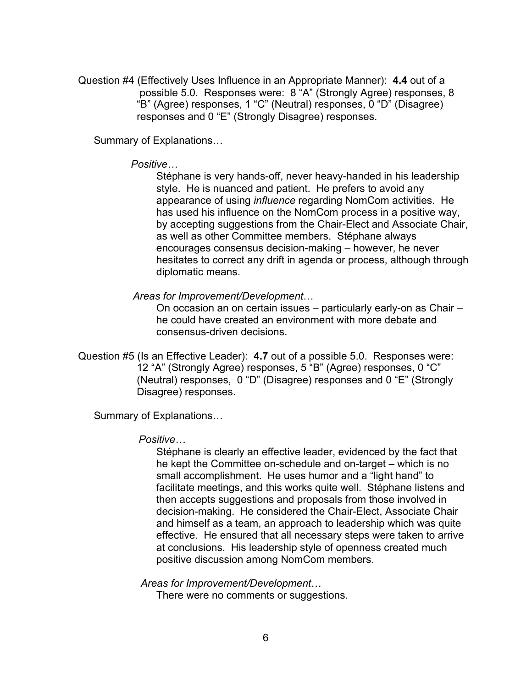Question #4 (Effectively Uses Influence in an Appropriate Manner): **4.4** out of a possible 5.0. Responses were: 8 "A" (Strongly Agree) responses, 8 "B" (Agree) responses, 1 "C" (Neutral) responses, 0 "D" (Disagree) responses and 0 "E" (Strongly Disagree) responses.

Summary of Explanations…

*Positive…*

Stéphane is very hands-off, never heavy-handed in his leadership style. He is nuanced and patient. He prefers to avoid any appearance of using *influence* regarding NomCom activities. He has used his influence on the NomCom process in a positive way, by accepting suggestions from the Chair-Elect and Associate Chair, as well as other Committee members. Stéphane always encourages consensus decision-making – however, he never hesitates to correct any drift in agenda or process, although through diplomatic means.

*Areas for Improvement/Development*…

On occasion an on certain issues – particularly early-on as Chair – he could have created an environment with more debate and consensus-driven decisions.

Question #5 (Is an Effective Leader): **4.7** out of a possible 5.0. Responses were: 12 "A" (Strongly Agree) responses, 5 "B" (Agree) responses, 0 "C" (Neutral) responses, 0 "D" (Disagree) responses and 0 "E" (Strongly Disagree) responses.

Summary of Explanations…

#### *Positive…*

Stéphane is clearly an effective leader, evidenced by the fact that he kept the Committee on-schedule and on-target – which is no small accomplishment. He uses humor and a "light hand" to facilitate meetings, and this works quite well. Stéphane listens and then accepts suggestions and proposals from those involved in decision-making. He considered the Chair-Elect, Associate Chair and himself as a team, an approach to leadership which was quite effective. He ensured that all necessary steps were taken to arrive at conclusions. His leadership style of openness created much positive discussion among NomCom members.

*Areas for Improvement/Development*…

There were no comments or suggestions.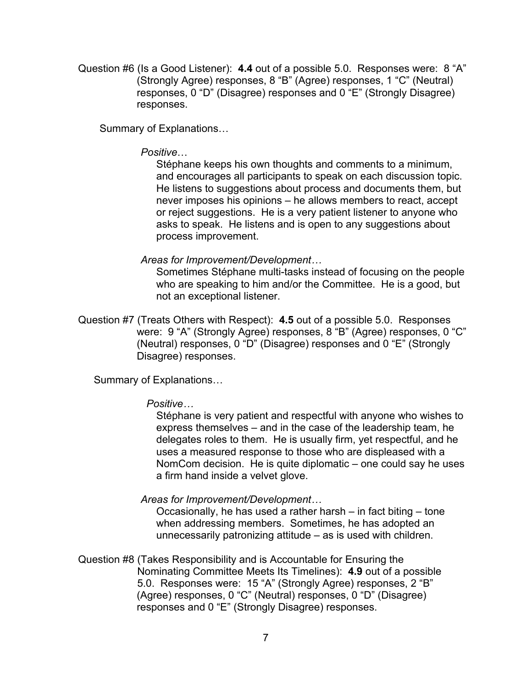Question #6 (Is a Good Listener): **4.4** out of a possible 5.0. Responses were: 8 "A" (Strongly Agree) responses, 8 "B" (Agree) responses, 1 "C" (Neutral) responses, 0 "D" (Disagree) responses and 0 "E" (Strongly Disagree) responses.

Summary of Explanations…

#### *Positive*…

Stéphane keeps his own thoughts and comments to a minimum, and encourages all participants to speak on each discussion topic. He listens to suggestions about process and documents them, but never imposes his opinions – he allows members to react, accept or reject suggestions. He is a very patient listener to anyone who asks to speak. He listens and is open to any suggestions about process improvement.

## *Areas for Improvement/Development…*

Sometimes Stéphane multi-tasks instead of focusing on the people who are speaking to him and/or the Committee. He is a good, but not an exceptional listener.

Question #7 (Treats Others with Respect): **4.5** out of a possible 5.0. Responses were: 9 "A" (Strongly Agree) responses, 8 "B" (Agree) responses, 0 "C" (Neutral) responses, 0 "D" (Disagree) responses and 0 "E" (Strongly Disagree) responses.

Summary of Explanations…

## *Positive…*

Stéphane is very patient and respectful with anyone who wishes to express themselves – and in the case of the leadership team, he delegates roles to them. He is usually firm, yet respectful, and he uses a measured response to those who are displeased with a NomCom decision. He is quite diplomatic – one could say he uses a firm hand inside a velvet glove.

## *Areas for Improvement/Development…*

Occasionally, he has used a rather harsh – in fact biting – tone when addressing members. Sometimes, he has adopted an unnecessarily patronizing attitude – as is used with children.

Question #8 (Takes Responsibility and is Accountable for Ensuring the Nominating Committee Meets Its Timelines): **4.9** out of a possible 5.0. Responses were: 15 "A" (Strongly Agree) responses, 2 "B" (Agree) responses, 0 "C" (Neutral) responses, 0 "D" (Disagree) responses and 0 "E" (Strongly Disagree) responses.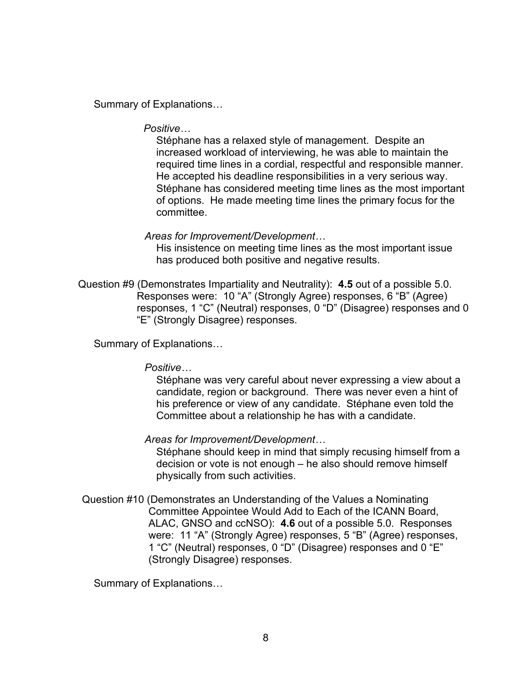Summary of Explanations…

*Positive…*

Stéphane has a relaxed style of management. Despite an increased workload of interviewing, he was able to maintain the required time lines in a cordial, respectful and responsible manner. He accepted his deadline responsibilities in a very serious way. Stéphane has considered meeting time lines as the most important of options. He made meeting time lines the primary focus for the committee.

*Areas for Improvement/Development…*

His insistence on meeting time lines as the most important issue has produced both positive and negative results.

Question #9 (Demonstrates Impartiality and Neutrality): **4.5** out of a possible 5.0. Responses were: 10 "A" (Strongly Agree) responses, 6 "B" (Agree) responses, 1 "C" (Neutral) responses, 0 "D" (Disagree) responses and 0 "E" (Strongly Disagree) responses.

Summary of Explanations…

*Positive…*

Stéphane was very careful about never expressing a view about a candidate, region or background. There was never even a hint of his preference or view of any candidate. Stéphane even told the Committee about a relationship he has with a candidate.

*Areas for Improvement/Development…*

Stéphane should keep in mind that simply recusing himself from a decision or vote is not enough – he also should remove himself physically from such activities.

Question #10 (Demonstrates an Understanding of the Values a Nominating Committee Appointee Would Add to Each of the ICANN Board, ALAC, GNSO and ccNSO): **4.6** out of a possible 5.0. Responses were: 11 "A" (Strongly Agree) responses, 5 "B" (Agree) responses, 1 "C" (Neutral) responses, 0 "D" (Disagree) responses and 0 "E" (Strongly Disagree) responses.

Summary of Explanations…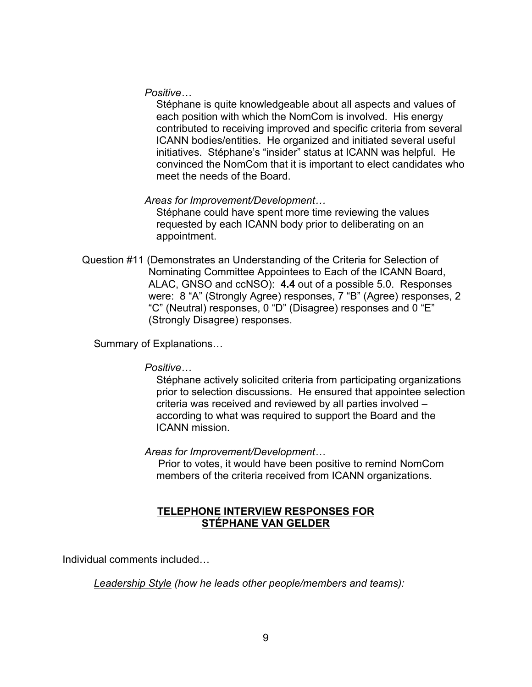*Positive…*

Stéphane is quite knowledgeable about all aspects and values of each position with which the NomCom is involved. His energy contributed to receiving improved and specific criteria from several ICANN bodies/entities. He organized and initiated several useful initiatives. Stéphane's "insider" status at ICANN was helpful. He convinced the NomCom that it is important to elect candidates who meet the needs of the Board.

*Areas for Improvement/Development…*

Stéphane could have spent more time reviewing the values requested by each ICANN body prior to deliberating on an appointment.

Question #11 (Demonstrates an Understanding of the Criteria for Selection of Nominating Committee Appointees to Each of the ICANN Board, ALAC, GNSO and ccNSO): **4.4** out of a possible 5.0. Responses were: 8 "A" (Strongly Agree) responses, 7 "B" (Agree) responses, 2 "C" (Neutral) responses, 0 "D" (Disagree) responses and 0 "E" (Strongly Disagree) responses.

Summary of Explanations…

*Positive…*

Stéphane actively solicited criteria from participating organizations prior to selection discussions. He ensured that appointee selection criteria was received and reviewed by all parties involved – according to what was required to support the Board and the ICANN mission.

*Areas for Improvement/Development…*

Prior to votes, it would have been positive to remind NomCom members of the criteria received from ICANN organizations.

## **TELEPHONE INTERVIEW RESPONSES FOR STÉPHANE VAN GELDER**

Individual comments included…

*Leadership Style (how he leads other people/members and teams):*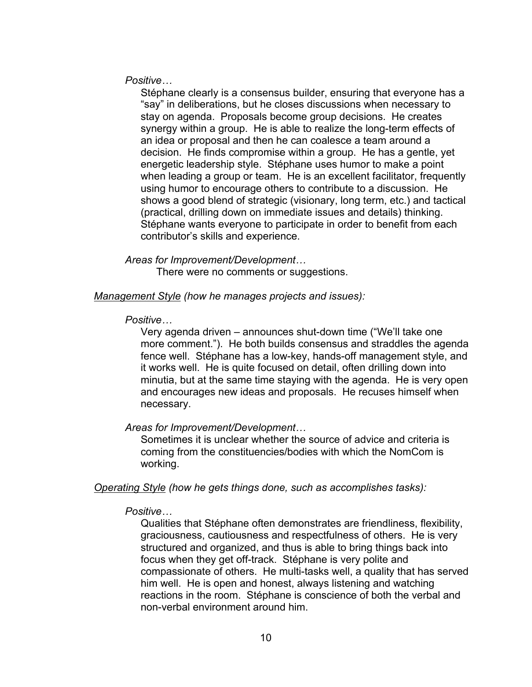*Positive…*

Stéphane clearly is a consensus builder, ensuring that everyone has a "say" in deliberations, but he closes discussions when necessary to stay on agenda. Proposals become group decisions. He creates synergy within a group. He is able to realize the long-term effects of an idea or proposal and then he can coalesce a team around a decision. He finds compromise within a group. He has a gentle, yet energetic leadership style. Stéphane uses humor to make a point when leading a group or team. He is an excellent facilitator, frequently using humor to encourage others to contribute to a discussion. He shows a good blend of strategic (visionary, long term, etc.) and tactical (practical, drilling down on immediate issues and details) thinking. Stéphane wants everyone to participate in order to benefit from each contributor's skills and experience.

*Areas for Improvement/Development…* There were no comments or suggestions.

*Management Style (how he manages projects and issues):*

*Positive…*

Very agenda driven – announces shut-down time ("We'll take one more comment."). He both builds consensus and straddles the agenda fence well. Stéphane has a low-key, hands-off management style, and it works well. He is quite focused on detail, often drilling down into minutia, but at the same time staying with the agenda. He is very open and encourages new ideas and proposals. He recuses himself when necessary.

*Areas for Improvement/Development…*

Sometimes it is unclear whether the source of advice and criteria is coming from the constituencies/bodies with which the NomCom is working.

*Operating Style (how he gets things done, such as accomplishes tasks):*

#### *Positive…*

Qualities that Stéphane often demonstrates are friendliness, flexibility, graciousness, cautiousness and respectfulness of others. He is very structured and organized, and thus is able to bring things back into focus when they get off-track. Stéphane is very polite and compassionate of others. He multi-tasks well, a quality that has served him well. He is open and honest, always listening and watching reactions in the room. Stéphane is conscience of both the verbal and non-verbal environment around him.